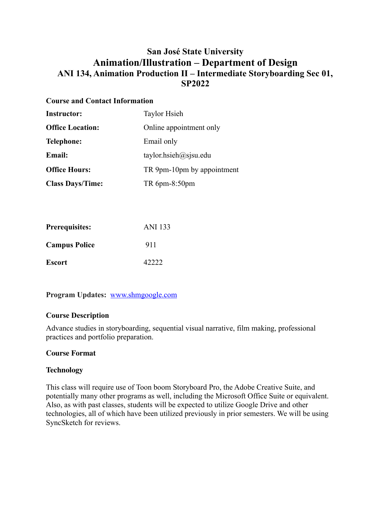# **San José State University Animation/Illustration – Department of Design ANI 134, Animation Production II – Intermediate Storyboarding Sec 01, SP2022**

### **Course and Contact Information**

| <b>Instructor:</b>      | <b>Taylor Hsieh</b>        |
|-------------------------|----------------------------|
| <b>Office Location:</b> | Online appointment only    |
| <b>Telephone:</b>       | Email only                 |
| Email:                  | taylor.hsieh@sisu.edu      |
| <b>Office Hours:</b>    | TR 9pm-10pm by appointment |
| <b>Class Days/Time:</b> | TR 6pm-8:50pm              |

| <b>Prerequisites:</b> | ANI 133 |
|-----------------------|---------|
| <b>Campus Police</b>  | 911     |
| <b>Escort</b>         | 42222   |

**Program Updates:** [www.shmgoogle.com](http://www.shmgoogle.com)

# **Course Description**

Advance studies in storyboarding, sequential visual narrative, film making, professional practices and portfolio preparation.

# **Course Format**

### **Technology**

This class will require use of Toon boom Storyboard Pro, the Adobe Creative Suite, and potentially many other programs as well, including the Microsoft Office Suite or equivalent. Also, as with past classes, students will be expected to utilize Google Drive and other technologies, all of which have been utilized previously in prior semesters. We will be using SyncSketch for reviews.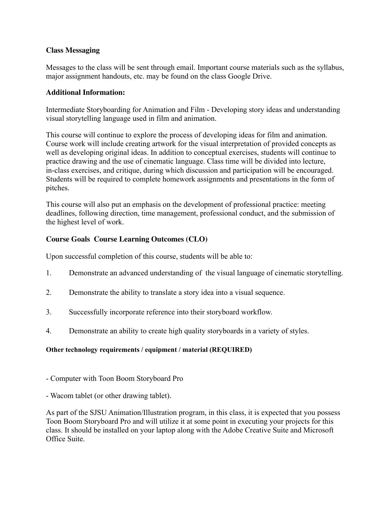### **Class Messaging**

Messages to the class will be sent through email. Important course materials such as the syllabus, major assignment handouts, etc. may be found on the class Google Drive.

#### **Additional Information:**

Intermediate Storyboarding for Animation and Film - Developing story ideas and understanding visual storytelling language used in film and animation.

This course will continue to explore the process of developing ideas for film and animation. Course work will include creating artwork for the visual interpretation of provided concepts as well as developing original ideas. In addition to conceptual exercises, students will continue to practice drawing and the use of cinematic language. Class time will be divided into lecture, in-class exercises, and critique, during which discussion and participation will be encouraged. Students will be required to complete homework assignments and presentations in the form of pitches.

This course will also put an emphasis on the development of professional practice: meeting deadlines, following direction, time management, professional conduct, and the submission of the highest level of work.

### **Course Goals Course Learning Outcomes (CLO)**

Upon successful completion of this course, students will be able to:

- 1. Demonstrate an advanced understanding of the visual language of cinematic storytelling.
- 2. Demonstrate the ability to translate a story idea into a visual sequence.
- 3. Successfully incorporate reference into their storyboard workflow.
- 4. Demonstrate an ability to create high quality storyboards in a variety of styles.

### **Other technology requirements / equipment / material (REQUIRED)**

- Computer with Toon Boom Storyboard Pro
- Wacom tablet (or other drawing tablet).

As part of the SJSU Animation/Illustration program, in this class, it is expected that you possess Toon Boom Storyboard Pro and will utilize it at some point in executing your projects for this class. It should be installed on your laptop along with the Adobe Creative Suite and Microsoft Office Suite.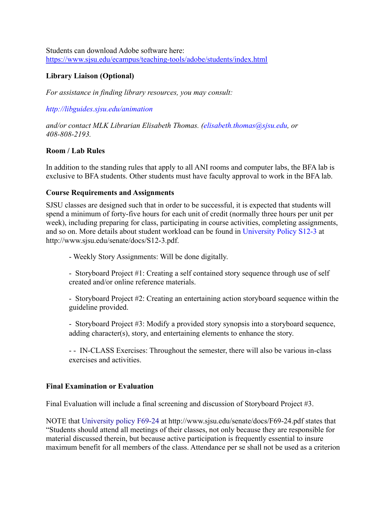Students can download Adobe software here: <https://www.sjsu.edu/ecampus/teaching-tools/adobe/students/index.html>

## **Library Liaison (Optional)**

*For assistance in finding library resources, you may consult:*

*http://libguides.sjsu.edu/animation*

*and/or contact MLK Librarian Elisabeth Thomas. (elisabeth.thomas@sjsu.edu, or 408-808-2193.*

### **Room / Lab Rules**

In addition to the standing rules that apply to all ANI rooms and computer labs, the BFA lab is exclusive to BFA students. Other students must have faculty approval to work in the BFA lab.

#### **Course Requirements and Assignments**

SJSU classes are designed such that in order to be successful, it is expected that students will spend a minimum of forty-five hours for each unit of credit (normally three hours per unit per week), including preparing for class, participating in course activities, completing assignments, and so on. More details about student workload can be found in University Policy S12-3 at http://www.sjsu.edu/senate/docs/S12-3.pdf.

- Weekly Story Assignments: Will be done digitally.

- Storyboard Project #1: Creating a self contained story sequence through use of self created and/or online reference materials.

- Storyboard Project #2: Creating an entertaining action storyboard sequence within the guideline provided.

- Storyboard Project #3: Modify a provided story synopsis into a storyboard sequence, adding character(s), story, and entertaining elements to enhance the story.

- - IN-CLASS Exercises: Throughout the semester, there will also be various in-class exercises and activities.

### **Final Examination or Evaluation**

Final Evaluation will include a final screening and discussion of Storyboard Project #3.

NOTE that University policy F69-24 at http://www.sjsu.edu/senate/docs/F69-24.pdf states that "Students should attend all meetings of their classes, not only because they are responsible for material discussed therein, but because active participation is frequently essential to insure maximum benefit for all members of the class. Attendance per se shall not be used as a criterion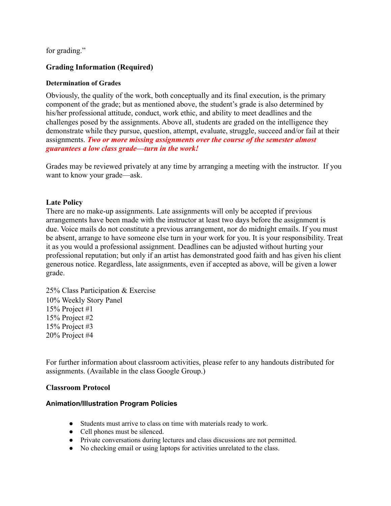for grading."

### **Grading Information (Required)**

#### **Determination of Grades**

Obviously, the quality of the work, both conceptually and its final execution, is the primary component of the grade; but as mentioned above, the student's grade is also determined by his/her professional attitude, conduct, work ethic, and ability to meet deadlines and the challenges posed by the assignments. Above all, students are graded on the intelligence they demonstrate while they pursue, question, attempt, evaluate, struggle, succeed and/or fail at their assignments. *Two or more missing assignments over the course of the semester almost guarantees a low class grade—turn in the work!*

Grades may be reviewed privately at any time by arranging a meeting with the instructor. If you want to know your grade—ask.

#### **Late Policy**

There are no make-up assignments. Late assignments will only be accepted if previous arrangements have been made with the instructor at least two days before the assignment is due. Voice mails do not constitute a previous arrangement, nor do midnight emails. If you must be absent, arrange to have someone else turn in your work for you. It is your responsibility. Treat it as you would a professional assignment. Deadlines can be adjusted without hurting your professional reputation; but only if an artist has demonstrated good faith and has given his client generous notice. Regardless, late assignments, even if accepted as above, will be given a lower grade.

25% Class Participation & Exercise 10% Weekly Story Panel 15% Project #1 15% Project #2 15% Project #3 20% Project #4

For further information about classroom activities, please refer to any handouts distributed for assignments. (Available in the class Google Group.)

#### **Classroom Protocol**

#### **Animation/Illustration Program Policies**

- Students must arrive to class on time with materials ready to work.
- Cell phones must be silenced.
- Private conversations during lectures and class discussions are not permitted.
- No checking email or using laptops for activities unrelated to the class.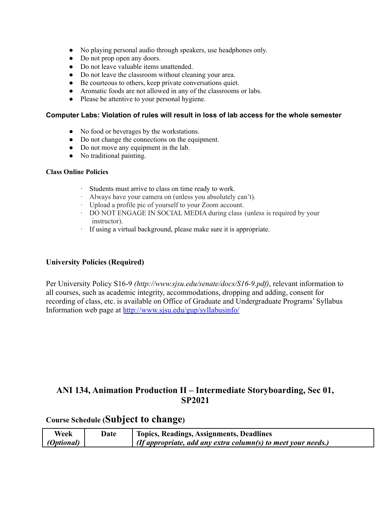- No playing personal audio through speakers, use headphones only.
- Do not prop open any doors.
- Do not leave valuable items unattended.
- Do not leave the classroom without cleaning your area.
- Be courteous to others, keep private conversations quiet.
- Aromatic foods are not allowed in any of the classrooms or labs.
- Please be attentive to your personal hygiene.

#### **Computer Labs: Violation of rules will result in loss of lab access for the whole semester**

- No food or beverages by the workstations.
- Do not change the connections on the equipment.
- Do not move any equipment in the lab.
- No traditional painting.

#### **Class Online Policies**

- · Students must arrive to class on time ready to work.
- · Always have your camera on (unless you absolutely can't).
- · Upload a profile pic of yourself to your Zoom account.
- · DO NOT ENGAGE IN SOCIAL MEDIA during class (unless is required by your instructor).
- · If using a virtual background, please make sure it is appropriate.

### **University Policies (Required)**

Per University Policy S16-9 *(http://www.sjsu.edu/senate/docs/S16-9.pdf)*, relevant information to all courses, such as academic integrity, accommodations, dropping and adding, consent for recording of class, etc. is available on Office of Graduate and Undergraduate Programs' Syllabus Information web page at <http://www.sjsu.edu/gup/syllabusinfo/>

# **ANI 134, Animation Production II – Intermediate Storyboarding, Sec 01, SP2021**

# **Course Schedule (Subject to change)**

| Week              | Date | <b>Topics, Readings, Assignments, Deadlines</b>                      |
|-------------------|------|----------------------------------------------------------------------|
| <i>(Optional)</i> |      | $\mid$ (If appropriate, add any extra column(s) to meet your needs.) |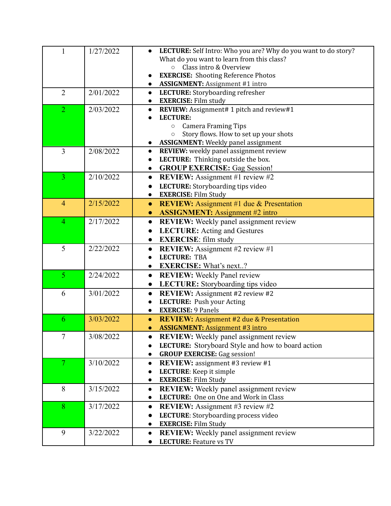| 1              | 1/27/2022 | LECTURE: Self Intro: Who you are? Why do you want to do story?        |
|----------------|-----------|-----------------------------------------------------------------------|
|                |           | What do you want to learn from this class?                            |
|                |           | $\circ$ Class intro & Overview                                        |
|                |           | <b>EXERCISE:</b> Shooting Reference Photos                            |
|                |           | <b>ASSIGNMENT:</b> Assignment #1 intro                                |
| $\overline{2}$ | 2/01/2022 | LECTURE: Storyboarding refresher<br>$\bullet$                         |
|                |           | <b>EXERCISE:</b> Film study<br>$\bullet$                              |
| $\overline{2}$ | 2/03/2022 | REVIEW: Assignment# 1 pitch and review#1<br>$\bullet$                 |
|                |           | <b>LECTURE:</b>                                                       |
|                |           | <b>Camera Framing Tips</b><br>$\circ$                                 |
|                |           | Story flows. How to set up your shots<br>$\circ$                      |
|                |           | <b>ASSIGNMENT:</b> Weekly panel assignment<br>$\bullet$               |
| $\overline{3}$ | 2/08/2022 | REVIEW: weekly panel assignment review<br>$\bullet$                   |
|                |           | LECTURE: Thinking outside the box.<br>$\bullet$                       |
|                |           | <b>GROUP EXERCISE:</b> Gag Session!<br>$\bullet$                      |
| 3              | 2/10/2022 | <b>REVIEW:</b> Assignment #1 review #2<br>$\bullet$                   |
|                |           | LECTURE: Storyboarding tips video                                     |
|                |           | <b>EXERCISE: Film Study</b>                                           |
| $\overline{4}$ | 2/15/2022 | <b>REVIEW:</b> Assignment #1 due & Presentation<br>$\bullet$          |
|                |           | <b>ASSIGNMENT:</b> Assignment #2 intro<br>$\bullet$                   |
| $\overline{4}$ | 2/17/2022 | <b>REVIEW:</b> Weekly panel assignment review<br>$\bullet$            |
|                |           | <b>LECTURE:</b> Acting and Gestures<br>$\bullet$                      |
|                |           | <b>EXERCISE:</b> film study<br>$\bullet$                              |
| 5              | 2/22/2022 | <b>REVIEW:</b> Assignment #2 review #1<br>$\bullet$                   |
|                |           | <b>LECTURE: TBA</b>                                                   |
|                |           | <b>EXERCISE:</b> What's next?<br>$\bullet$                            |
| $\overline{5}$ | 2/24/2022 | <b>REVIEW:</b> Weekly Panel review<br>$\bullet$                       |
|                |           | LECTURE: Storyboarding tips video<br>$\bullet$                        |
| 6              | 3/01/2022 | REVIEW: Assignment #2 review #2<br>$\bullet$                          |
|                |           | LECTURE: Push your Acting                                             |
|                |           | <b>EXERCISE: 9 Panels</b><br>$\bullet$                                |
| 6              | 3/03/2022 | <b>REVIEW:</b> Assignment #2 due & Presentation<br>$\bullet$          |
|                |           | <b>ASSIGNMENT:</b> Assignment #3 intro<br>$\bullet$                   |
| 7              | 3/08/2022 | <b>REVIEW:</b> Weekly panel assignment review                         |
|                |           | <b>LECTURE:</b> Storyboard Style and how to board action<br>$\bullet$ |
|                |           | <b>GROUP EXERCISE:</b> Gag session!<br>$\bullet$                      |
| $\overline{7}$ | 3/10/2022 | <b>REVIEW:</b> assignment #3 review #1<br>$\bullet$                   |
|                |           | LECTURE: Keep it simple                                               |
|                |           | <b>EXERCISE: Film Study</b><br>$\bullet$                              |
| 8              | 3/15/2022 | <b>REVIEW:</b> Weekly panel assignment review<br>$\bullet$            |
|                |           | LECTURE: One on One and Work in Class<br>$\bullet$                    |
| 8              | 3/17/2022 | <b>REVIEW:</b> Assignment #3 review #2<br>$\bullet$                   |
|                |           | LECTURE: Storyboarding process video<br>$\bullet$                     |
|                |           | <b>EXERCISE: Film Study</b><br>$\bullet$                              |
| 9              | 3/22/2022 | REVIEW: Weekly panel assignment review<br>$\bullet$                   |
|                |           | <b>LECTURE:</b> Feature vs TV<br>$\bullet$                            |